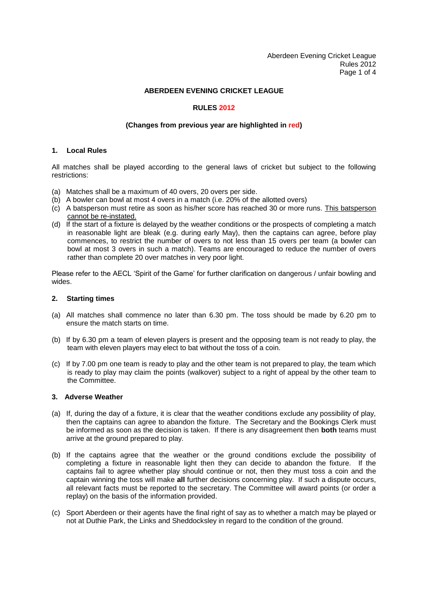Aberdeen Evening Cricket League Rules 2012 Page 1 of 4

## **ABERDEEN EVENING CRICKET LEAGUE**

## **RULES 2012**

## **(Changes from previous year are highlighted in red)**

## **1. Local Rules**

All matches shall be played according to the general laws of cricket but subject to the following restrictions:

- (a) Matches shall be a maximum of 40 overs, 20 overs per side.
- (b) A bowler can bowl at most 4 overs in a match (i.e. 20% of the allotted overs)
- (c) A batsperson must retire as soon as his/her score has reached 30 or more runs. This batsperson cannot be re-instated.
- (d) If the start of a fixture is delayed by the weather conditions or the prospects of completing a match in reasonable light are bleak (e.g. during early May), then the captains can agree, before play commences, to restrict the number of overs to not less than 15 overs per team (a bowler can bowl at most 3 overs in such a match). Teams are encouraged to reduce the number of overs rather than complete 20 over matches in very poor light.

Please refer to the AECL 'Spirit of the Game' for further clarification on dangerous / unfair bowling and wides.

## **2. Starting times**

- (a) All matches shall commence no later than 6.30 pm. The toss should be made by 6.20 pm to ensure the match starts on time.
- (b) If by 6.30 pm a team of eleven players is present and the opposing team is not ready to play, the team with eleven players may elect to bat without the toss of a coin.
- (c) If by 7.00 pm one team is ready to play and the other team is not prepared to play, the team which is ready to play may claim the points (walkover) subject to a right of appeal by the other team to the Committee.

### **3. Adverse Weather**

- (a) If, during the day of a fixture, it is clear that the weather conditions exclude any possibility of play, then the captains can agree to abandon the fixture. The Secretary and the Bookings Clerk must be informed as soon as the decision is taken. If there is any disagreement then **both** teams must arrive at the ground prepared to play.
- (b) If the captains agree that the weather or the ground conditions exclude the possibility of completing a fixture in reasonable light then they can decide to abandon the fixture. If the captains fail to agree whether play should continue or not, then they must toss a coin and the captain winning the toss will make **all** further decisions concerning play. If such a dispute occurs, all relevant facts must be reported to the secretary. The Committee will award points (or order a replay) on the basis of the information provided.
- (c) Sport Aberdeen or their agents have the final right of say as to whether a match may be played or not at Duthie Park, the Links and Sheddocksley in regard to the condition of the ground.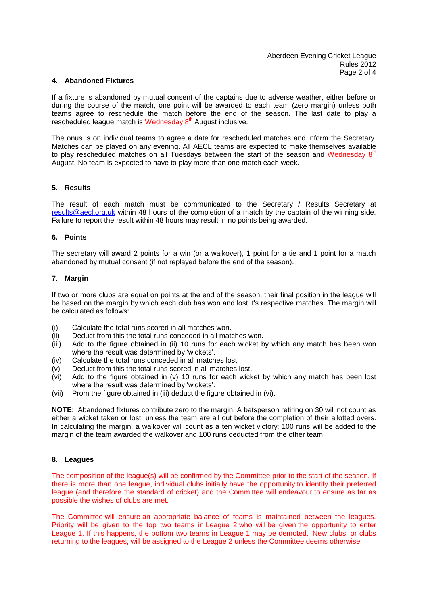#### **4. Abandoned Fixtures**

If a fixture is abandoned by mutual consent of the captains due to adverse weather, either before or during the course of the match, one point will be awarded to each team (zero margin) unless both teams agree to reschedule the match before the end of the season. The last date to play a rescheduled league match is Wednesday 8<sup>th</sup> August inclusive.

The onus is on individual teams to agree a date for rescheduled matches and inform the Secretary. Matches can be played on any evening. All AECL teams are expected to make themselves available to play rescheduled matches on all Tuesdays between the start of the season and Wednesday  $8<sup>th</sup>$ August. No team is expected to have to play more than one match each week.

#### **5. Results**

The result of each match must be communicated to the Secretary / Results Secretary at [results@aecl.org.uk](mailto:results@aecl.org.uk) within 48 hours of the completion of a match by the captain of the winning side. Failure to report the result within 48 hours may result in no points being awarded.

#### **6. Points**

The secretary will award 2 points for a win (or a walkover), 1 point for a tie and 1 point for a match abandoned by mutual consent (if not replayed before the end of the season).

#### **7. Margin**

If two or more clubs are equal on points at the end of the season, their final position in the league will be based on the margin by which each club has won and lost it's respective matches. The margin will be calculated as follows:

- (i) Calculate the total runs scored in all matches won.
- (ii) Deduct from this the total runs conceded in all matches won.
- (iii) Add to the figure obtained in (ii) 10 runs for each wicket by which any match has been won where the result was determined by 'wickets'.
- (iv) Calculate the total runs conceded in all matches lost.
- (v) Deduct from this the total runs scored in all matches lost.
- (vi) Add to the figure obtained in (v) 10 runs for each wicket by which any match has been lost where the result was determined by 'wickets'.
- (vii) Prom the figure obtained in (iii) deduct the figure obtained in (vi).

**NOTE**: Abandoned fixtures contribute zero to the margin. A batsperson retiring on 30 will not count as either a wicket taken or lost, unless the team are all out before the completion of their allotted overs. In calculating the margin, a walkover will count as a ten wicket victory; 100 runs will be added to the margin of the team awarded the walkover and 100 runs deducted from the other team.

## **8. Leagues**

The composition of the league(s) will be confirmed by the Committee prior to the start of the season. If there is more than one league, individual clubs initially have the opportunity to identify their preferred league (and therefore the standard of cricket) and the Committee will endeavour to ensure as far as possible the wishes of clubs are met.

The Committee will ensure an appropriate balance of teams is maintained between the leagues. Priority will be given to the top two teams in League 2 who will be given the opportunity to enter League 1. If this happens, the bottom two teams in League 1 may be demoted. New clubs, or clubs returning to the leagues, will be assigned to the League 2 unless the Committee deems otherwise.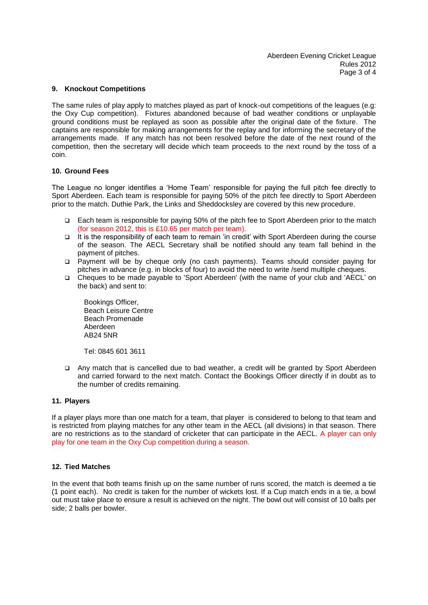### **9. Knockout Competitions**

The same rules of play apply to matches played as part of knock-out competitions of the leagues (e.g: the Oxy Cup competition). Fixtures abandoned because of bad weather conditions or unplayable ground conditions must be replayed as soon as possible after the original date of the fixture. The captains are responsible for making arrangements for the replay and for informing the secretary of the arrangements made. If any match has not been resolved before the date of the next round of the competition, then the secretary will decide which team proceeds to the next round by the toss of a coin.

## **10. Ground Fees**

The League no longer identifies a 'Home Team' responsible for paying the full pitch fee directly to Sport Aberdeen. Each team is responsible for paying 50% of the pitch fee directly to Sport Aberdeen prior to the match. Duthie Park, the Links and Sheddocksley are covered by this new procedure.

- Each team is responsible for paying 50% of the pitch fee to Sport Aberdeen prior to the match (for season 2012, this is £10.65 per match per team).
- It is the responsibility of each team to remain 'in credit' with Sport Aberdeen during the course of the season. The AECL Secretary shall be notified should any team fall behind in the payment of pitches.
- Payment will be by cheque only (no cash payments). Teams should consider paying for pitches in advance (e.g. in blocks of four) to avoid the need to write /send multiple cheques.
- Cheques to be made payable to 'Sport Aberdeen' (with the name of your club and 'AECL' on the back) and sent to:

Bookings Officer, Beach Leisure Centre Beach Promenade Aberdeen AB24 5NR

Tel: 0845 601 3611

 Any match that is cancelled due to bad weather, a credit will be granted by Sport Aberdeen and carried forward to the next match. Contact the Bookings Officer directly if in doubt as to the number of credits remaining.

### **11. Players**

If a player plays more than one match for a team, that player is considered to belong to that team and is restricted from playing matches for any other team in the AECL (all divisions) in that season. There are no restrictions as to the standard of cricketer that can participate in the AECL. A player can only play for one team in the Oxy Cup competition during a season.

### **12. Tied Matches**

In the event that both teams finish up on the same number of runs scored, the match is deemed a tie (1 point each). No credit is taken for the number of wickets lost. If a Cup match ends in a tie, a bowl out must take place to ensure a result is achieved on the night. The bowl out will consist of 10 balls per side; 2 balls per bowler.